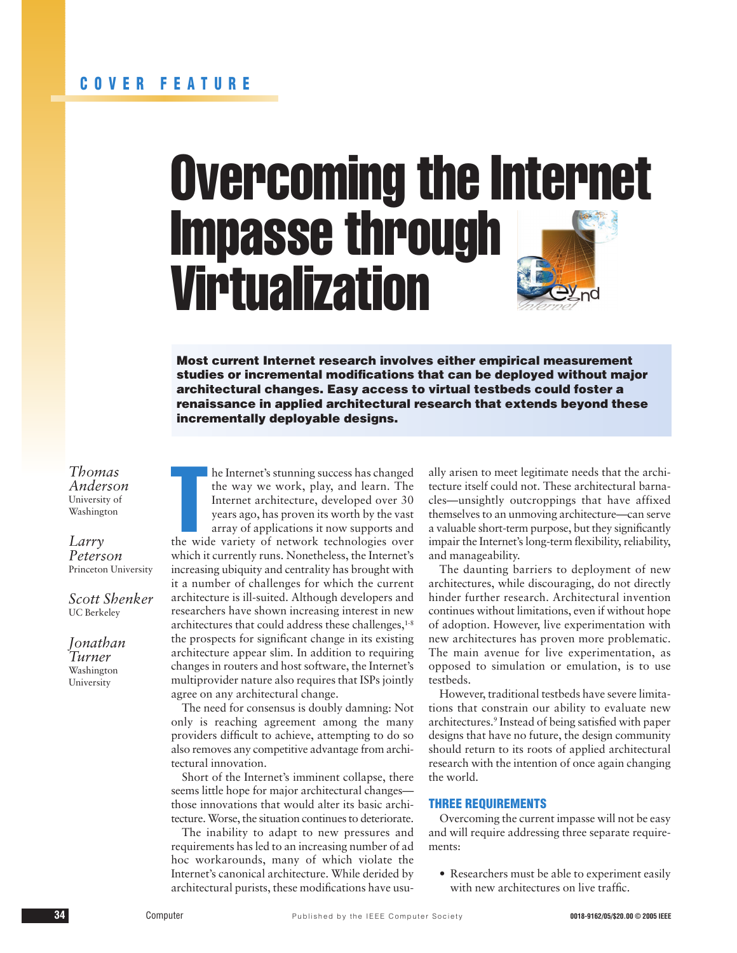# **COVER FEATURE**

# Overcoming the Internet Impasse through Virtualization

**Most current Internet research involves either empirical measurement studies or incremental modifications that can be deployed without major architectural changes. Easy access to virtual testbeds could foster a renaissance in applied architectural research that extends beyond these incrementally deployable designs.**

### *Thomas Anderson* University of Washington

### *Larry Peterson* Princeton University

*Scott Shenker* UC Berkeley

*Jonathan Turner* Washington University

he Internet's stunning success has changed<br>the way we work, play, and learn. The<br>Internet architecture, developed over 30<br>years ago, has proven its worth by the vast<br>array of applications it now supports and<br>the wide varie he Internet's stunning success has changed the way we work, play, and learn. The Internet architecture, developed over 30 years ago, has proven its worth by the vast

array of applications it now supports and which it currently runs. Nonetheless, the Internet's increasing ubiquity and centrality has brought with it a number of challenges for which the current architecture is ill-suited. Although developers and researchers have shown increasing interest in new architectures that could address these challenges,<sup>1-8</sup> the prospects for significant change in its existing architecture appear slim. In addition to requiring changes in routers and host software, the Internet's multiprovider nature also requires that ISPs jointly agree on any architectural change.

The need for consensus is doubly damning: Not only is reaching agreement among the many providers difficult to achieve, attempting to do so also removes any competitive advantage from architectural innovation.

Short of the Internet's imminent collapse, there seems little hope for major architectural changes those innovations that would alter its basic architecture. Worse, the situation continues to deteriorate.

The inability to adapt to new pressures and requirements has led to an increasing number of ad hoc workarounds, many of which violate the Internet's canonical architecture. While derided by architectural purists, these modifications have usually arisen to meet legitimate needs that the architecture itself could not. These architectural barnacles—unsightly outcroppings that have affixed themselves to an unmoving architecture—can serve a valuable short-term purpose, but they significantly impair the Internet's long-term flexibility, reliability, and manageability.

The daunting barriers to deployment of new architectures, while discouraging, do not directly hinder further research. Architectural invention continues without limitations, even if without hope of adoption. However, live experimentation with new architectures has proven more problematic. The main avenue for live experimentation, as opposed to simulation or emulation, is to use testbeds.

However, traditional testbeds have severe limitations that constrain our ability to evaluate new architectures.9 Instead of being satisfied with paper designs that have no future, the design community should return to its roots of applied architectural research with the intention of once again changing the world.

#### **THREE REQUIREMENTS**

Overcoming the current impasse will not be easy and will require addressing three separate requirements:

• Researchers must be able to experiment easily with new architectures on live traffic.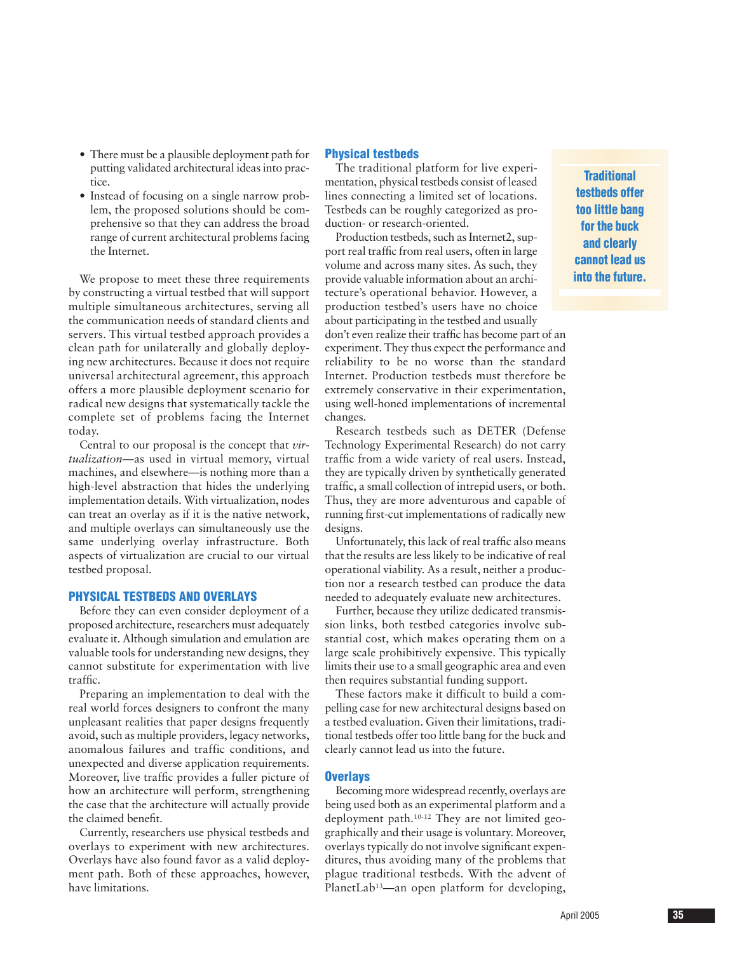- There must be a plausible deployment path for putting validated architectural ideas into practice.
- Instead of focusing on a single narrow problem, the proposed solutions should be comprehensive so that they can address the broad range of current architectural problems facing the Internet.

We propose to meet these three requirements by constructing a virtual testbed that will support multiple simultaneous architectures, serving all the communication needs of standard clients and servers. This virtual testbed approach provides a clean path for unilaterally and globally deploying new architectures. Because it does not require universal architectural agreement, this approach offers a more plausible deployment scenario for radical new designs that systematically tackle the complete set of problems facing the Internet today.

Central to our proposal is the concept that *virtualization*—as used in virtual memory, virtual machines, and elsewhere—is nothing more than a high-level abstraction that hides the underlying implementation details. With virtualization, nodes can treat an overlay as if it is the native network, and multiple overlays can simultaneously use the same underlying overlay infrastructure. Both aspects of virtualization are crucial to our virtual testbed proposal.

## **PHYSICAL TESTBEDS AND OVERLAYS**

Before they can even consider deployment of a proposed architecture, researchers must adequately evaluate it. Although simulation and emulation are valuable tools for understanding new designs, they cannot substitute for experimentation with live traffic.

Preparing an implementation to deal with the real world forces designers to confront the many unpleasant realities that paper designs frequently avoid, such as multiple providers, legacy networks, anomalous failures and traffic conditions, and unexpected and diverse application requirements. Moreover, live traffic provides a fuller picture of how an architecture will perform, strengthening the case that the architecture will actually provide the claimed benefit.

Currently, researchers use physical testbeds and overlays to experiment with new architectures. Overlays have also found favor as a valid deployment path. Both of these approaches, however, have limitations.

#### **Physical testbeds**

The traditional platform for live experimentation, physical testbeds consist of leased lines connecting a limited set of locations. Testbeds can be roughly categorized as production- or research-oriented.

Production testbeds, such as Internet2, support real traffic from real users, often in large volume and across many sites. As such, they provide valuable information about an architecture's operational behavior. However, a production testbed's users have no choice about participating in the testbed and usually

don't even realize their traffic has become part of an experiment. They thus expect the performance and reliability to be no worse than the standard Internet. Production testbeds must therefore be extremely conservative in their experimentation, using well-honed implementations of incremental changes.

Research testbeds such as DETER (Defense Technology Experimental Research) do not carry traffic from a wide variety of real users. Instead, they are typically driven by synthetically generated traffic, a small collection of intrepid users, or both. Thus, they are more adventurous and capable of running first-cut implementations of radically new designs.

Unfortunately, this lack of real traffic also means that the results are less likely to be indicative of real operational viability. As a result, neither a production nor a research testbed can produce the data needed to adequately evaluate new architectures.

Further, because they utilize dedicated transmission links, both testbed categories involve substantial cost, which makes operating them on a large scale prohibitively expensive. This typically limits their use to a small geographic area and even then requires substantial funding support.

These factors make it difficult to build a compelling case for new architectural designs based on a testbed evaluation. Given their limitations, traditional testbeds offer too little bang for the buck and clearly cannot lead us into the future.

#### **Overlays**

Becoming more widespread recently, overlays are being used both as an experimental platform and a deployment path.10-12 They are not limited geographically and their usage is voluntary. Moreover, overlays typically do not involve significant expenditures, thus avoiding many of the problems that plague traditional testbeds. With the advent of PlanetLab<sup>13</sup>—an open platform for developing,

**Traditional testbeds offer too little bang for the buck and clearly cannot lead us into the future.**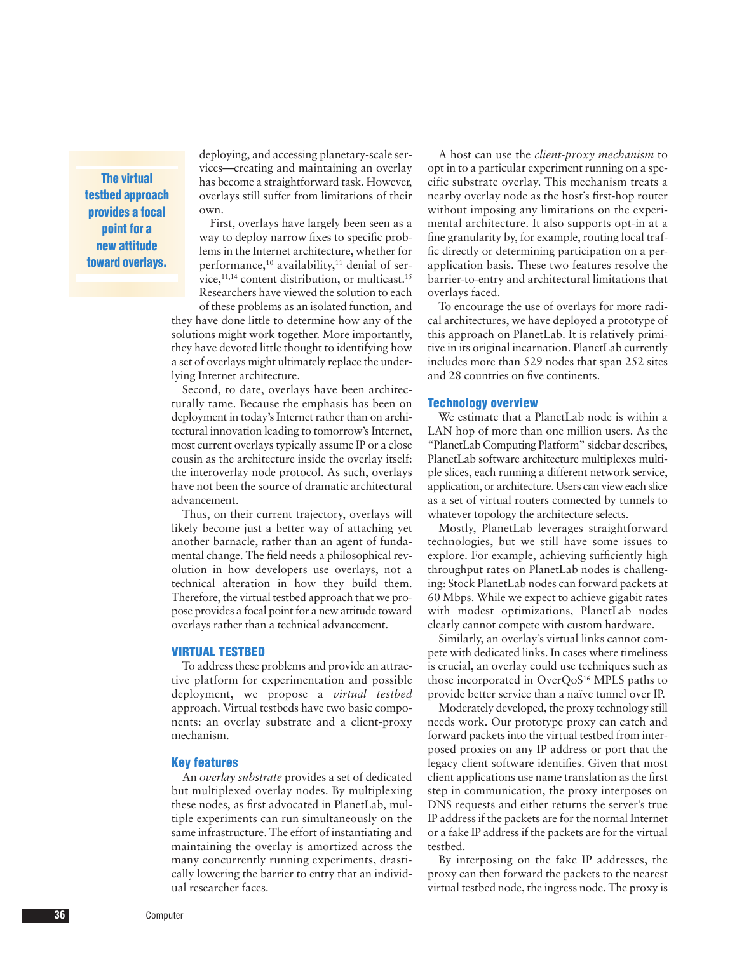**The virtual testbed approach provides a focal point for a new attitude toward overlays.**

deploying, and accessing planetary-scale services—creating and maintaining an overlay has become a straightforward task. However, overlays still suffer from limitations of their own.

First, overlays have largely been seen as a way to deploy narrow fixes to specific problems in the Internet architecture, whether for performance,<sup>10</sup> availability,<sup>11</sup> denial of service,<sup>11,14</sup> content distribution, or multicast.<sup>15</sup> Researchers have viewed the solution to each of these problems as an isolated function, and

they have done little to determine how any of the solutions might work together. More importantly, they have devoted little thought to identifying how a set of overlays might ultimately replace the underlying Internet architecture.

Second, to date, overlays have been architecturally tame. Because the emphasis has been on deployment in today's Internet rather than on architectural innovation leading to tomorrow's Internet, most current overlays typically assume IP or a close cousin as the architecture inside the overlay itself: the interoverlay node protocol. As such, overlays have not been the source of dramatic architectural advancement.

Thus, on their current trajectory, overlays will likely become just a better way of attaching yet another barnacle, rather than an agent of fundamental change. The field needs a philosophical revolution in how developers use overlays, not a technical alteration in how they build them. Therefore, the virtual testbed approach that we propose provides a focal point for a new attitude toward overlays rather than a technical advancement.

#### **VIRTUAL TESTBED**

To address these problems and provide an attractive platform for experimentation and possible deployment, we propose a *virtual testbed* approach. Virtual testbeds have two basic components: an overlay substrate and a client-proxy mechanism.

#### **Key features**

An *overlay substrate* provides a set of dedicated but multiplexed overlay nodes. By multiplexing these nodes, as first advocated in PlanetLab, multiple experiments can run simultaneously on the same infrastructure. The effort of instantiating and maintaining the overlay is amortized across the many concurrently running experiments, drastically lowering the barrier to entry that an individual researcher faces.

A host can use the *client-proxy mechanism* to opt in to a particular experiment running on a specific substrate overlay. This mechanism treats a nearby overlay node as the host's first-hop router without imposing any limitations on the experimental architecture. It also supports opt-in at a fine granularity by, for example, routing local traffic directly or determining participation on a perapplication basis. These two features resolve the barrier-to-entry and architectural limitations that overlays faced.

To encourage the use of overlays for more radical architectures, we have deployed a prototype of this approach on PlanetLab. It is relatively primitive in its original incarnation. PlanetLab currently includes more than 529 nodes that span 252 sites and 28 countries on five continents.

#### **Technology overview**

We estimate that a PlanetLab node is within a LAN hop of more than one million users. As the "PlanetLab Computing Platform" sidebar describes, PlanetLab software architecture multiplexes multiple slices, each running a different network service, application, or architecture. Users can view each slice as a set of virtual routers connected by tunnels to whatever topology the architecture selects.

Mostly, PlanetLab leverages straightforward technologies, but we still have some issues to explore. For example, achieving sufficiently high throughput rates on PlanetLab nodes is challenging: Stock PlanetLab nodes can forward packets at 60 Mbps. While we expect to achieve gigabit rates with modest optimizations, PlanetLab nodes clearly cannot compete with custom hardware.

Similarly, an overlay's virtual links cannot compete with dedicated links. In cases where timeliness is crucial, an overlay could use techniques such as those incorporated in OverQoS<sup>16</sup> MPLS paths to provide better service than a naïve tunnel over IP.

Moderately developed, the proxy technology still needs work. Our prototype proxy can catch and forward packets into the virtual testbed from interposed proxies on any IP address or port that the legacy client software identifies. Given that most client applications use name translation as the first step in communication, the proxy interposes on DNS requests and either returns the server's true IP address if the packets are for the normal Internet or a fake IP address if the packets are for the virtual testbed.

By interposing on the fake IP addresses, the proxy can then forward the packets to the nearest virtual testbed node, the ingress node. The proxy is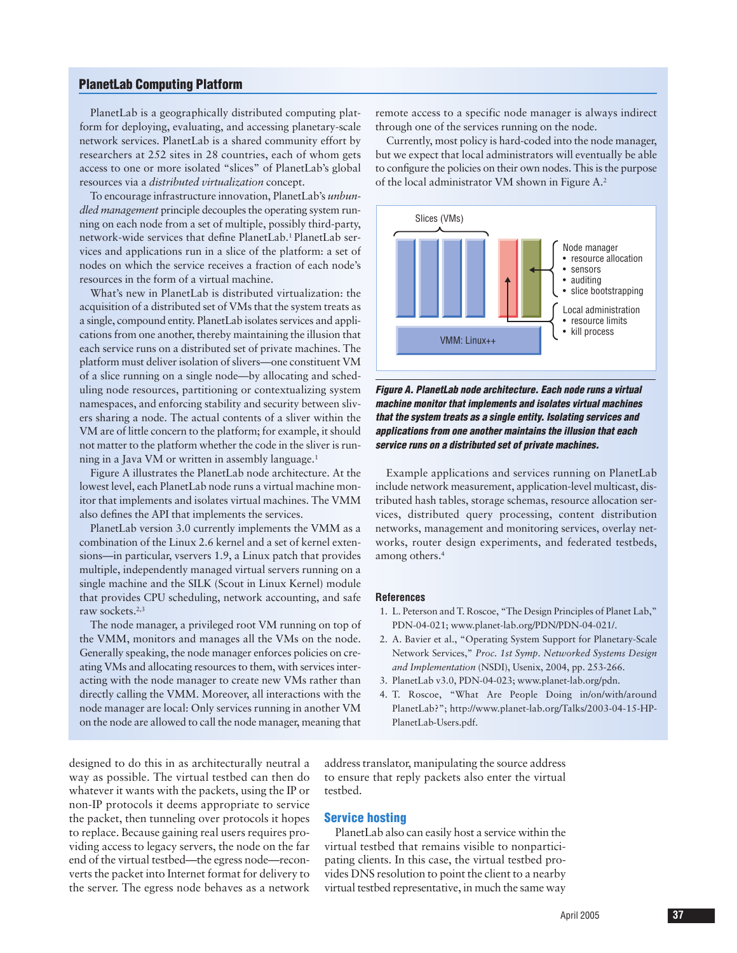#### **PlanetLab Computing Platform**

PlanetLab is a geographically distributed computing platform for deploying, evaluating, and accessing planetary-scale network services. PlanetLab is a shared community effort by researchers at 252 sites in 28 countries, each of whom gets access to one or more isolated "slices" of PlanetLab's global resources via a *distributed virtualization* concept.

To encourage infrastructure innovation, PlanetLab's *unbundled management* principle decouples the operating system running on each node from a set of multiple, possibly third-party, network-wide services that define PlanetLab.1 PlanetLab services and applications run in a slice of the platform: a set of nodes on which the service receives a fraction of each node's resources in the form of a virtual machine.

What's new in PlanetLab is distributed virtualization: the acquisition of a distributed set of VMs that the system treats as a single, compound entity. PlanetLab isolates services and applications from one another, thereby maintaining the illusion that each service runs on a distributed set of private machines. The platform must deliver isolation of slivers—one constituent VM of a slice running on a single node—by allocating and scheduling node resources, partitioning or contextualizing system namespaces, and enforcing stability and security between slivers sharing a node. The actual contents of a sliver within the VM are of little concern to the platform; for example, it should not matter to the platform whether the code in the sliver is running in a Java VM or written in assembly language.<sup>1</sup>

Figure A illustrates the PlanetLab node architecture. At the lowest level, each PlanetLab node runs a virtual machine monitor that implements and isolates virtual machines. The VMM also defines the API that implements the services.

PlanetLab version 3.0 currently implements the VMM as a combination of the Linux 2.6 kernel and a set of kernel extensions—in particular, vservers 1.9, a Linux patch that provides multiple, independently managed virtual servers running on a single machine and the SILK (Scout in Linux Kernel) module that provides CPU scheduling, network accounting, and safe raw sockets.2,3

The node manager, a privileged root VM running on top of the VMM, monitors and manages all the VMs on the node. Generally speaking, the node manager enforces policies on creating VMs and allocating resources to them, with services interacting with the node manager to create new VMs rather than directly calling the VMM. Moreover, all interactions with the node manager are local: Only services running in another VM on the node are allowed to call the node manager, meaning that

designed to do this in as architecturally neutral a way as possible. The virtual testbed can then do whatever it wants with the packets, using the IP or non-IP protocols it deems appropriate to service the packet, then tunneling over protocols it hopes to replace. Because gaining real users requires providing access to legacy servers, the node on the far end of the virtual testbed—the egress node—reconverts the packet into Internet format for delivery to the server. The egress node behaves as a network

remote access to a specific node manager is always indirect through one of the services running on the node.

Currently, most policy is hard-coded into the node manager, but we expect that local administrators will eventually be able to configure the policies on their own nodes. This is the purpose of the local administrator VM shown in Figure A.2



**Figure A. PlanetLab node architecture. Each node runs a virtual machine monitor that implements and isolates virtual machines that the system treats as a single entity. Isolating services and applications from one another maintains the illusion that each service runs on a distributed set of private machines.**

Example applications and services running on PlanetLab include network measurement, application-level multicast, distributed hash tables, storage schemas, resource allocation services, distributed query processing, content distribution networks, management and monitoring services, overlay networks, router design experiments, and federated testbeds, among others.4

#### **References**

- 1. L. Peterson and T. Roscoe, "The Design Principles of Planet Lab," PDN-04-021; www.planet-lab.org/PDN/PDN-04-021/.
- 2. A. Bavier et al., "Operating System Support for Planetary-Scale Network Services," *Proc. 1st Symp. Networked Systems Design and Implementation* (NSDI), Usenix, 2004, pp. 253-266.
- 3. PlanetLab v3.0, PDN-04-023; www.planet-lab.org/pdn.
- 4. T. Roscoe, "What Are People Doing in/on/with/around PlanetLab?"; http://www.planet-lab.org/Talks/2003-04-15-HP-PlanetLab-Users.pdf.

address translator, manipulating the source address to ensure that reply packets also enter the virtual testbed.

#### **Service hosting**

PlanetLab also can easily host a service within the virtual testbed that remains visible to nonparticipating clients. In this case, the virtual testbed provides DNS resolution to point the client to a nearby virtual testbed representative, in much the same way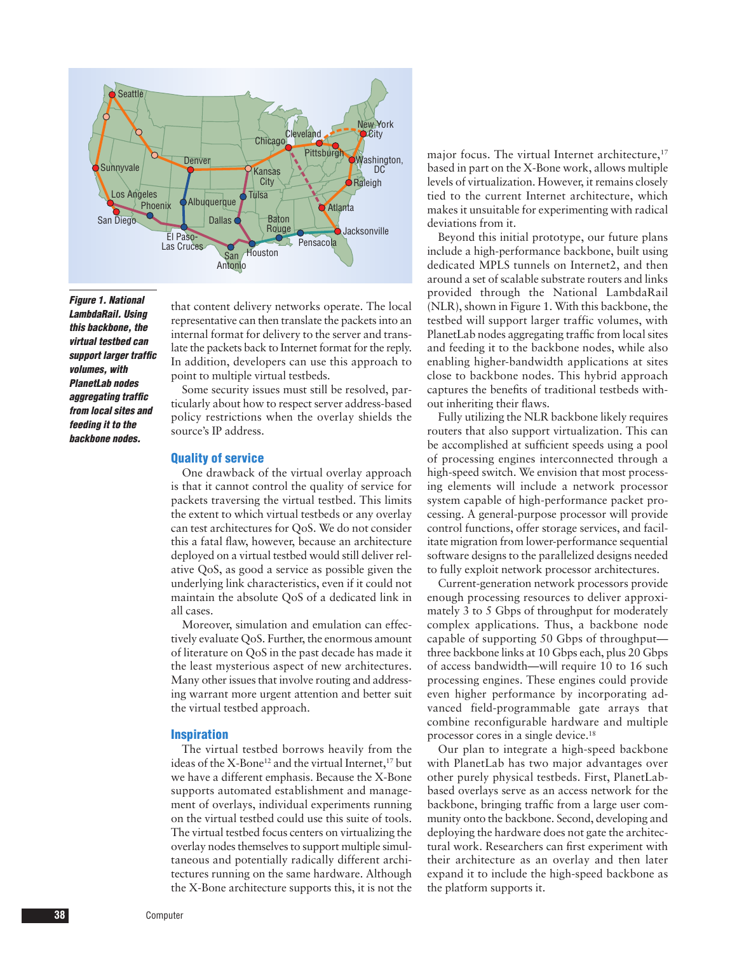

**Figure 1. National LambdaRail. Using this backbone, the virtual testbed can support larger traffic volumes, with PlanetLab nodes aggregating traffic from local sites and feeding it to the backbone nodes.**

that content delivery networks operate. The local representative can then translate the packets into an internal format for delivery to the server and translate the packets back to Internet format for the reply. In addition, developers can use this approach to point to multiple virtual testbeds.

Some security issues must still be resolved, particularly about how to respect server address-based policy restrictions when the overlay shields the source's IP address.

#### **Quality of service**

One drawback of the virtual overlay approach is that it cannot control the quality of service for packets traversing the virtual testbed. This limits the extent to which virtual testbeds or any overlay can test architectures for QoS. We do not consider this a fatal flaw, however, because an architecture deployed on a virtual testbed would still deliver relative QoS, as good a service as possible given the underlying link characteristics, even if it could not maintain the absolute QoS of a dedicated link in all cases.

Moreover, simulation and emulation can effectively evaluate QoS. Further, the enormous amount of literature on QoS in the past decade has made it the least mysterious aspect of new architectures. Many other issues that involve routing and addressing warrant more urgent attention and better suit the virtual testbed approach.

#### **Inspiration**

The virtual testbed borrows heavily from the ideas of the X-Bone<sup>12</sup> and the virtual Internet,<sup>17</sup> but we have a different emphasis. Because the X-Bone supports automated establishment and management of overlays, individual experiments running on the virtual testbed could use this suite of tools. The virtual testbed focus centers on virtualizing the overlay nodes themselves to support multiple simultaneous and potentially radically different architectures running on the same hardware. Although the X-Bone architecture supports this, it is not the major focus. The virtual Internet architecture,<sup>17</sup> based in part on the X-Bone work, allows multiple levels of virtualization. However, it remains closely tied to the current Internet architecture, which makes it unsuitable for experimenting with radical deviations from it.

Beyond this initial prototype, our future plans include a high-performance backbone, built using dedicated MPLS tunnels on Internet2, and then around a set of scalable substrate routers and links provided through the National LambdaRail (NLR), shown in Figure 1. With this backbone, the testbed will support larger traffic volumes, with PlanetLab nodes aggregating traffic from local sites and feeding it to the backbone nodes, while also enabling higher-bandwidth applications at sites close to backbone nodes. This hybrid approach captures the benefits of traditional testbeds without inheriting their flaws.

Fully utilizing the NLR backbone likely requires routers that also support virtualization. This can be accomplished at sufficient speeds using a pool of processing engines interconnected through a high-speed switch. We envision that most processing elements will include a network processor system capable of high-performance packet processing. A general-purpose processor will provide control functions, offer storage services, and facilitate migration from lower-performance sequential software designs to the parallelized designs needed to fully exploit network processor architectures.

Current-generation network processors provide enough processing resources to deliver approximately 3 to 5 Gbps of throughput for moderately complex applications. Thus, a backbone node capable of supporting 50 Gbps of throughput three backbone links at 10 Gbps each, plus 20 Gbps of access bandwidth—will require 10 to 16 such processing engines. These engines could provide even higher performance by incorporating advanced field-programmable gate arrays that combine reconfigurable hardware and multiple processor cores in a single device.18

Our plan to integrate a high-speed backbone with PlanetLab has two major advantages over other purely physical testbeds. First, PlanetLabbased overlays serve as an access network for the backbone, bringing traffic from a large user community onto the backbone. Second, developing and deploying the hardware does not gate the architectural work. Researchers can first experiment with their architecture as an overlay and then later expand it to include the high-speed backbone as the platform supports it.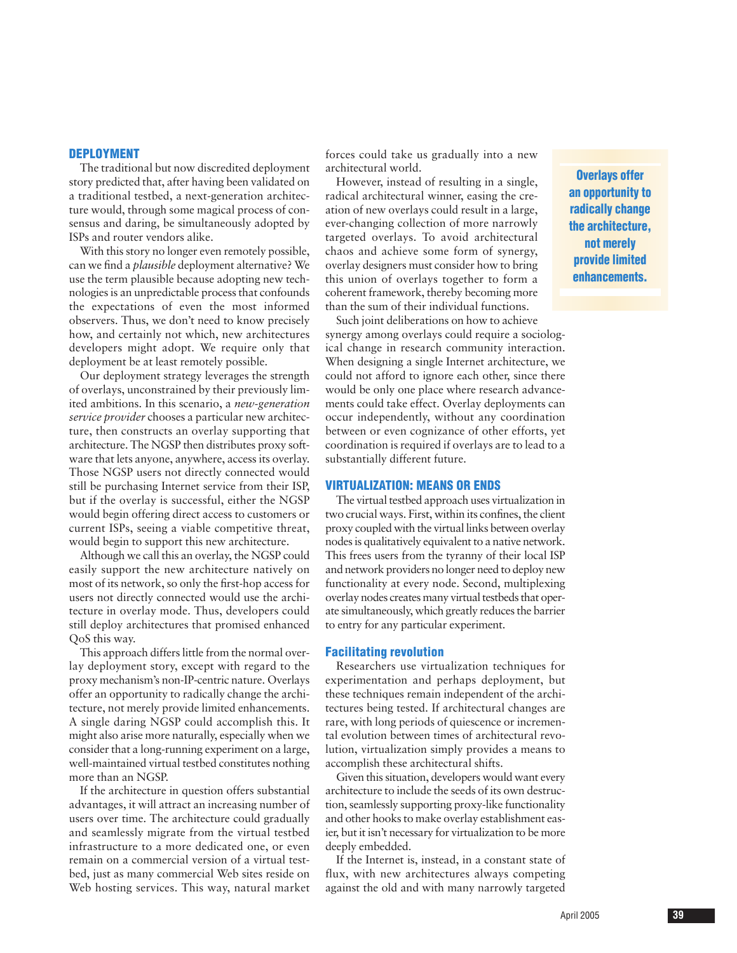# **DEPLOYMENT**

The traditional but now discredited deployment story predicted that, after having been validated on a traditional testbed, a next-generation architecture would, through some magical process of consensus and daring, be simultaneously adopted by ISPs and router vendors alike.

With this story no longer even remotely possible, can we find a *plausible* deployment alternative? We use the term plausible because adopting new technologies is an unpredictable process that confounds the expectations of even the most informed observers. Thus, we don't need to know precisely how, and certainly not which, new architectures developers might adopt. We require only that deployment be at least remotely possible.

Our deployment strategy leverages the strength of overlays, unconstrained by their previously limited ambitions. In this scenario, a *new-generation service provider* chooses a particular new architecture, then constructs an overlay supporting that architecture. The NGSP then distributes proxy software that lets anyone, anywhere, access its overlay. Those NGSP users not directly connected would still be purchasing Internet service from their ISP, but if the overlay is successful, either the NGSP would begin offering direct access to customers or current ISPs, seeing a viable competitive threat, would begin to support this new architecture.

Although we call this an overlay, the NGSP could easily support the new architecture natively on most of its network, so only the first-hop access for users not directly connected would use the architecture in overlay mode. Thus, developers could still deploy architectures that promised enhanced QoS this way.

This approach differs little from the normal overlay deployment story, except with regard to the proxy mechanism's non-IP-centric nature. Overlays offer an opportunity to radically change the architecture, not merely provide limited enhancements. A single daring NGSP could accomplish this. It might also arise more naturally, especially when we consider that a long-running experiment on a large, well-maintained virtual testbed constitutes nothing more than an NGSP.

If the architecture in question offers substantial advantages, it will attract an increasing number of users over time. The architecture could gradually and seamlessly migrate from the virtual testbed infrastructure to a more dedicated one, or even remain on a commercial version of a virtual testbed, just as many commercial Web sites reside on Web hosting services. This way, natural market

forces could take us gradually into a new architectural world.

However, instead of resulting in a single, radical architectural winner, easing the creation of new overlays could result in a large, ever-changing collection of more narrowly targeted overlays. To avoid architectural chaos and achieve some form of synergy, overlay designers must consider how to bring this union of overlays together to form a coherent framework, thereby becoming more than the sum of their individual functions.

Such joint deliberations on how to achieve synergy among overlays could require a sociological change in research community interaction. When designing a single Internet architecture, we could not afford to ignore each other, since there would be only one place where research advancements could take effect. Overlay deployments can occur independently, without any coordination between or even cognizance of other efforts, yet coordination is required if overlays are to lead to a substantially different future.

#### **VIRTUALIZATION: MEANS OR ENDS**

The virtual testbed approach uses virtualization in two crucial ways. First, within its confines, the client proxy coupled with the virtual links between overlay nodes is qualitatively equivalent to a native network. This frees users from the tyranny of their local ISP and network providers no longer need to deploy new functionality at every node. Second, multiplexing overlay nodes creates many virtual testbeds that operate simultaneously, which greatly reduces the barrier to entry for any particular experiment.

#### **Facilitating revolution**

Researchers use virtualization techniques for experimentation and perhaps deployment, but these techniques remain independent of the architectures being tested. If architectural changes are rare, with long periods of quiescence or incremental evolution between times of architectural revolution, virtualization simply provides a means to accomplish these architectural shifts.

Given this situation, developers would want every architecture to include the seeds of its own destruction, seamlessly supporting proxy-like functionality and other hooks to make overlay establishment easier, but it isn't necessary for virtualization to be more deeply embedded.

If the Internet is, instead, in a constant state of flux, with new architectures always competing against the old and with many narrowly targeted

**Overlays offer an opportunity to radically change the architecture, not merely provide limited enhancements.**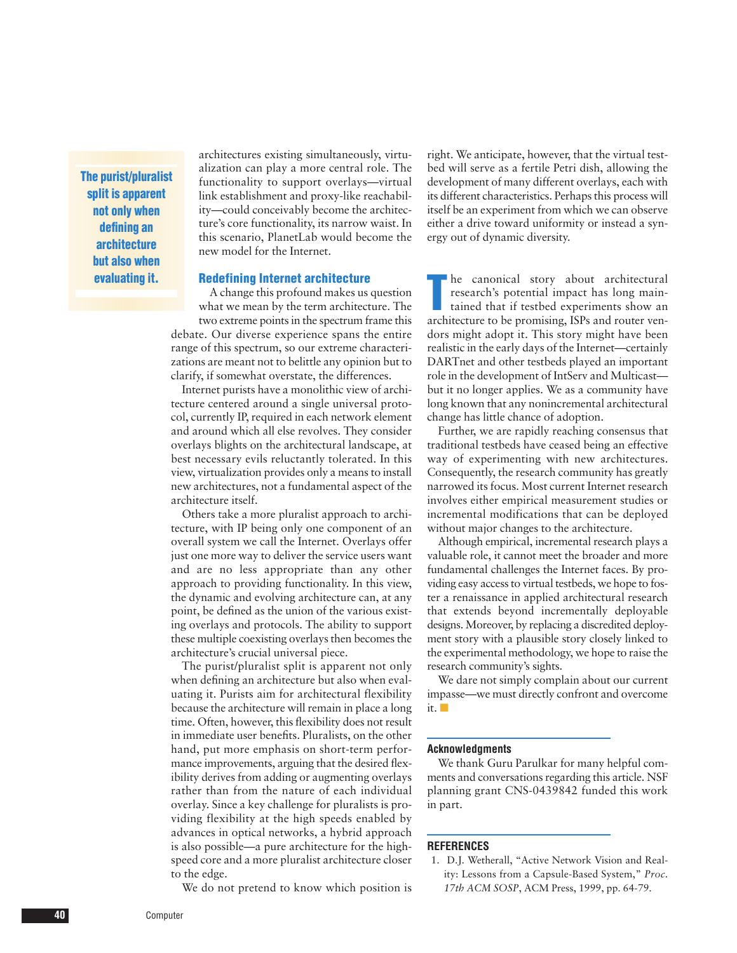**The purist/pluralist split is apparent not only when defining an architecture but also when evaluating it.**

architectures existing simultaneously, virtualization can play a more central role. The functionality to support overlays—virtual link establishment and proxy-like reachability—could conceivably become the architecture's core functionality, its narrow waist. In this scenario, PlanetLab would become the new model for the Internet.

### **Redefining Internet architecture**

A change this profound makes us question what we mean by the term architecture. The

two extreme points in the spectrum frame this debate. Our diverse experience spans the entire range of this spectrum, so our extreme characterizations are meant not to belittle any opinion but to clarify, if somewhat overstate, the differences.

Internet purists have a monolithic view of architecture centered around a single universal protocol, currently IP, required in each network element and around which all else revolves. They consider overlays blights on the architectural landscape, at best necessary evils reluctantly tolerated. In this view, virtualization provides only a means to install new architectures, not a fundamental aspect of the architecture itself.

Others take a more pluralist approach to architecture, with IP being only one component of an overall system we call the Internet. Overlays offer just one more way to deliver the service users want and are no less appropriate than any other approach to providing functionality. In this view, the dynamic and evolving architecture can, at any point, be defined as the union of the various existing overlays and protocols. The ability to support these multiple coexisting overlays then becomes the architecture's crucial universal piece.

The purist/pluralist split is apparent not only when defining an architecture but also when evaluating it. Purists aim for architectural flexibility because the architecture will remain in place a long time. Often, however, this flexibility does not result in immediate user benefits. Pluralists, on the other hand, put more emphasis on short-term performance improvements, arguing that the desired flexibility derives from adding or augmenting overlays rather than from the nature of each individual overlay. Since a key challenge for pluralists is providing flexibility at the high speeds enabled by advances in optical networks, a hybrid approach is also possible—a pure architecture for the highspeed core and a more pluralist architecture closer to the edge.

We do not pretend to know which position is

right. We anticipate, however, that the virtual testbed will serve as a fertile Petri dish, allowing the development of many different overlays, each with its different characteristics. Perhaps this process will itself be an experiment from which we can observe either a drive toward uniformity or instead a synergy out of dynamic diversity.

T he canonical story about architectural research's potential impact has long maintained that if testbed experiments show an architecture to be promising, ISPs and router vendors might adopt it. This story might have been realistic in the early days of the Internet—certainly DARTnet and other testbeds played an important role in the development of IntServ and Multicast but it no longer applies. We as a community have long known that any nonincremental architectural change has little chance of adoption.

Further, we are rapidly reaching consensus that traditional testbeds have ceased being an effective way of experimenting with new architectures. Consequently, the research community has greatly narrowed its focus. Most current Internet research involves either empirical measurement studies or incremental modifications that can be deployed without major changes to the architecture.

Although empirical, incremental research plays a valuable role, it cannot meet the broader and more fundamental challenges the Internet faces. By providing easy access to virtual testbeds, we hope to foster a renaissance in applied architectural research that extends beyond incrementally deployable designs. Moreover, by replacing a discredited deployment story with a plausible story closely linked to the experimental methodology, we hope to raise the research community's sights.

We dare not simply complain about our current impasse—we must directly confront and overcome it. ■

#### **Acknowledgments**

We thank Guru Parulkar for many helpful comments and conversations regarding this article. NSF planning grant CNS-0439842 funded this work in part.

#### **REFERENCES**

1. D.J. Wetherall, "Active Network Vision and Reality: Lessons from a Capsule-Based System," *Proc. 17th ACM SOSP*, ACM Press, 1999, pp. 64-79.